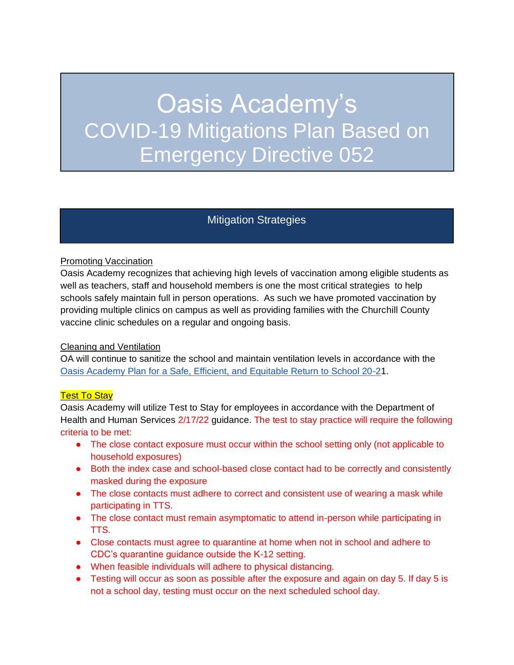# Oasis Academy's COVID-19 Mitigations Plan Based on Emergency Directive 052

# Mitigation Strategies

#### Promoting Vaccination

Oasis Academy recognizes that achieving high levels of vaccination among eligible students as well as teachers, staff and household members is one the most critical strategies to help schools safely maintain full in person operations. As such we have promoted vaccination by providing multiple clinics on campus as well as providing families with the Churchill County vaccine clinic schedules on a regular and ongoing basis.

#### Cleaning and Ventilation

OA will continue to sanitize the school and maintain ventilation levels in accordance with the [Oasis Academy Plan for a Safe, Efficient, and Equitable Return to School 20-21](https://docs.google.com/document/d/1-22EGKUZUer0a5XIiyoazV7-uK_7pYnNBBRgQ7QuZYI/edit).

#### **Test To Stay**

Oasis Academy will utilize Test to Stay for employees in accordance with the Department of Health and Human Services 2/17/22 guidance. The test to stay practice will require the following criteria to be met:

- The close contact exposure must occur within the school setting only (not applicable to household exposures)
- Both the index case and school-based close contact had to be correctly and consistently masked during the exposure
- The close contacts must adhere to correct and consistent use of wearing a mask while participating in TTS.
- The close contact must remain asymptomatic to attend in-person while participating in TTS.
- Close contacts must agree to quarantine at home when not in school and adhere to CDC's quarantine guidance outside the K-12 setting.
- When feasible individuals will adhere to physical distancing.
- Testing will occur as soon as possible after the exposure and again on day 5. If day 5 is not a school day, testing must occur on the next scheduled school day.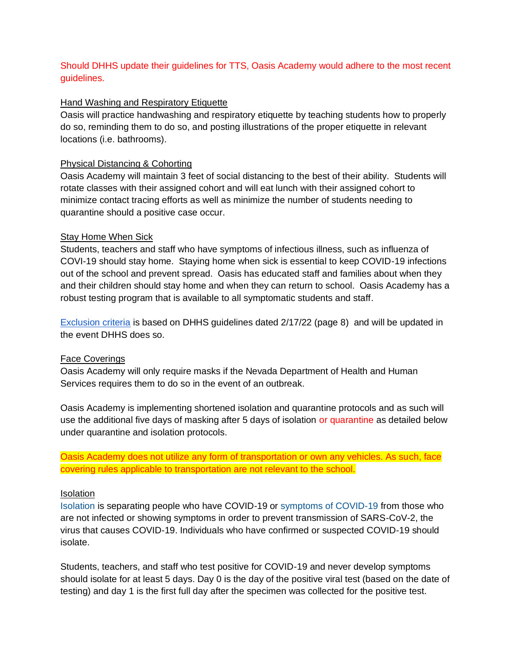### Should DHHS update their guidelines for TTS, Oasis Academy would adhere to the most recent guidelines.

#### Hand Washing and Respiratory Etiquette

Oasis will practice handwashing and respiratory etiquette by teaching students how to properly do so, reminding them to do so, and posting illustrations of the proper etiquette in relevant locations (i.e. bathrooms).

#### Physical Distancing & Cohorting

Oasis Academy will maintain 3 feet of social distancing to the best of their ability. Students will rotate classes with their assigned cohort and will eat lunch with their assigned cohort to minimize contact tracing efforts as well as minimize the number of students needing to quarantine should a positive case occur.

#### Stay Home When Sick

Students, teachers and staff who have symptoms of infectious illness, such as influenza of COVI-19 should stay home. Staying home when sick is essential to keep COVID-19 infections out of the school and prevent spread. Oasis has educated staff and families about when they and their children should stay home and when they can return to school. Oasis Academy has a robust testing program that is available to all symptomatic students and staff.

[Exclusion criteria](https://core-docs.s3.amazonaws.com/documents/asset/uploaded_file/1879191/Attach_1-2021-22_School_COVID_Guidance_Update_2.17.22_Final.pdf) is based on DHHS guidelines dated 2/17/22 (page 8) and will be updated in the event DHHS does so.

#### Face Coverings

Oasis Academy will only require masks if the Nevada Department of Health and Human Services requires them to do so in the event of an outbreak.

Oasis Academy is implementing shortened isolation and quarantine protocols and as such will use the additional five days of masking after 5 days of isolation or quarantine as detailed below under quarantine and isolation protocols.

Oasis Academy does not utilize any form of transportation or own any vehicles. As such, face covering rules applicable to transportation are not relevant to the school.

#### Isolation

[Isolation](https://www.cdc.gov/coronavirus/2019-ncov/your-health/quarantine-isolation.html) is separating people who have COVID-19 or [symptoms of COVID-19](https://www.cdc.gov/coronavirus/2019-ncov/symptoms-testing/symptoms.html) from those who are not infected or showing symptoms in order to prevent transmission of SARS-CoV-2, the virus that causes COVID-19. Individuals who have confirmed or suspected COVID-19 should isolate.

Students, teachers, and staff who test positive for COVID-19 and never develop symptoms should isolate for at least 5 days. Day 0 is the day of the positive viral test (based on the date of testing) and day 1 is the first full day after the specimen was collected for the positive test.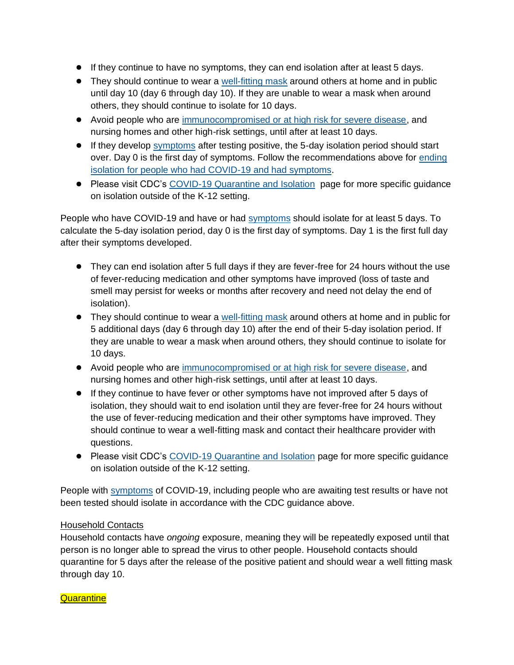- If they continue to have no symptoms, they can end isolation after at least 5 days.
- They should continue to wear a [well-fitting mask](https://www.cdc.gov/coronavirus/2019-ncov/your-health/effective-masks.html) around others at home and in public until day 10 (day 6 through day 10). If they are unable to wear a mask when around others, they should continue to isolate for 10 days.
- Avoid people who are [immunocompromised or at high risk for severe disease,](https://www.cdc.gov/coronavirus/2019-ncov/need-extra-precautions/people-with-medical-conditions.html) and nursing homes and other high-risk settings, until after at least 10 days.
- If they develop [symptoms](https://www.cdc.gov/coronavirus/2019-ncov/symptoms-testing/symptoms.html) after testing positive, the 5-day isolation period should start over. Day 0 is the first day of symptoms. Follow the recommendations above for [ending](https://www.cdc.gov/coronavirus/2019-ncov/your-health/quarantine-isolation.html#_Ending_isolation_for)  [isolation for people who had COVID-19 and had symptoms.](https://www.cdc.gov/coronavirus/2019-ncov/your-health/quarantine-isolation.html#_Ending_isolation_for)
- Please visit CDC's [COVID-19 Quarantine and Isolation](https://www.cdc.gov/coronavirus/2019-ncov/your-health/quarantine-isolation.html) page for more specific guidance on isolation outside of the K-12 setting.

People who have COVID-19 and have or had [symptoms](https://www.cdc.gov/coronavirus/2019-ncov/symptoms-testing/symptoms.html) should isolate for at least 5 days. To calculate the 5-day isolation period, day 0 is the first day of symptoms. Day 1 is the first full day after their symptoms developed.

- They can end isolation after 5 full days if they are fever-free for 24 hours without the use of fever-reducing medication and other symptoms have improved (loss of taste and smell may persist for weeks or months after recovery and need not delay the end of isolation).
- They should continue to wear a [well-fitting mask](https://www.cdc.gov/coronavirus/2019-ncov/your-health/effective-masks.html) around others at home and in public for 5 additional days (day 6 through day 10) after the end of their 5-day isolation period. If they are unable to wear a mask when around others, they should continue to isolate for 10 days.
- Avoid people who are [immunocompromised or at high risk for severe disease,](https://www.cdc.gov/coronavirus/2019-ncov/need-extra-precautions/people-with-medical-conditions.html) and nursing homes and other high-risk settings, until after at least 10 days.
- If they continue to have fever or other symptoms have not improved after 5 days of isolation, they should wait to end isolation until they are fever-free for 24 hours without the use of fever-reducing medication and their other symptoms have improved. They should continue to wear a well-fitting mask and contact their healthcare provider with questions.
- Please visit CDC's [COVID-19 Quarantine and Isolation](https://www.cdc.gov/coronavirus/2019-ncov/your-health/quarantine-isolation.html) page for more specific guidance on isolation outside of the K-12 setting.

People with [symptoms](https://www.cdc.gov/coronavirus/2019-ncov/symptoms-testing/symptoms.html) of COVID-19, including people who are awaiting test results or have not been tested should isolate in accordance with the CDC guidance above.

## Household Contacts

Household contacts have *ongoing* exposure, meaning they will be repeatedly exposed until that person is no longer able to spread the virus to other people. Household contacts should quarantine for 5 days after the release of the positive patient and should wear a well fitting mask through day 10.

#### **Quarantine**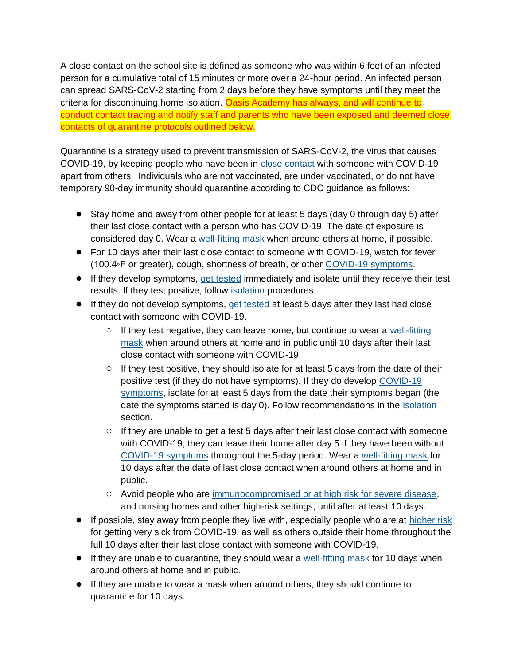A close contact on the school site is defined as someone who was within 6 feet of an infected person for a cumulative total of 15 minutes or more over a 24-hour period. An infected person can spread SARS-CoV-2 starting from 2 days before they have symptoms until they meet the criteria for discontinuing home isolation. Oasis Academy has always, and will continue to conduct contact tracing and notify staff and parents who have been exposed and deemed close contacts of quarantine protocols outlined below.

Quarantine is a strategy used to prevent transmission of SARS-CoV-2, the virus that causes COVID-19, by keeping people who have been in [close contact](https://www.cdc.gov/coronavirus/2019-ncov/php/contact-tracing/contact-tracing-plan/appendix.html#contact) with someone with COVID-19 apart from others. Individuals who are not vaccinated, are under vaccinated, or do not have temporary 90-day immunity should quarantine according to CDC guidance as follows:

- Stay home and away from other people for at least 5 days (day 0 through day 5) after their last close contact with a person who has COVID-19. The date of exposure is considered day 0. Wear a [well-fitting mask](https://www.cdc.gov/coronavirus/2019-ncov/your-health/effective-masks.html) when around others at home, if possible.
- For 10 days after their last close contact to someone with COVID-19, watch for fever (100.4◦F or greater), cough, shortness of breath, or other [COVID-19 symptoms.](https://www.cdc.gov/coronavirus/2019-ncov/symptoms-testing/symptoms.html)
- If they develop symptoms, [get tested](https://www.cdc.gov/coronavirus/2019-ncov/testing/diagnostic-testing.html) immediately and isolate until they receive their test results. If they test positive, follow [isolation](https://www.cdc.gov/coronavirus/2019-ncov/community/schools-childcare/k-12-contact-tracing/about-isolation.html) procedures.
- If they do not develop symptoms, [get tested](https://www.cdc.gov/coronavirus/2019-ncov/testing/diagnostic-testing.html) at least 5 days after they last had close contact with someone with COVID-19.
	- $\circ$  If they test negative, they can leave home, but continue to wear a well-fitting [mask](https://www.cdc.gov/coronavirus/2019-ncov/your-health/effective-masks.html) when around others at home and in public until 10 days after their last close contact with someone with COVID-19.
	- $\circ$  If they test positive, they should isolate for at least 5 days from the date of their positive test (if they do not have symptoms). If they do develop [COVID-19](https://www.cdc.gov/coronavirus/2019-ncov/symptoms-testing/symptoms.html)  [symptoms,](https://www.cdc.gov/coronavirus/2019-ncov/symptoms-testing/symptoms.html) isolate for at least 5 days from the date their symptoms began (the date the symptoms started is day 0). Follow recommendations in the [isolation](https://www.cdc.gov/coronavirus/2019-ncov/your-health/quarantine-isolation.html#isolation) section.
	- $\circ$  If they are unable to get a test 5 days after their last close contact with someone with COVID-19, they can leave their home after day 5 if they have been without [COVID-19 symptoms](https://www.cdc.gov/coronavirus/2019-ncov/symptoms-testing/symptoms.html) throughout the 5-day period. Wear a [well-fitting mask](https://www.cdc.gov/coronavirus/2019-ncov/your-health/effective-masks.html) for 10 days after the date of last close contact when around others at home and in public.
	- Avoid people who are [immunocompromised or at high risk for severe disease,](https://www.cdc.gov/coronavirus/2019-ncov/need-extra-precautions/people-with-medical-conditions.html) and nursing homes and other high-risk settings, until after at least 10 days.
- If possible, stay away from people they live with, especially people who are at [higher risk](https://www.cdc.gov/coronavirus/2019-ncov/need-extra-precautions/index.html) for getting very sick from COVID-19, as well as others outside their home throughout the full 10 days after their last close contact with someone with COVID-19.
- If they are unable to quarantine, they should wear a [well-fitting mask](https://www.cdc.gov/coronavirus/2019-ncov/your-health/effective-masks.html) for 10 days when around others at home and in public.
- If they are unable to wear a mask when around others, they should continue to quarantine for 10 days.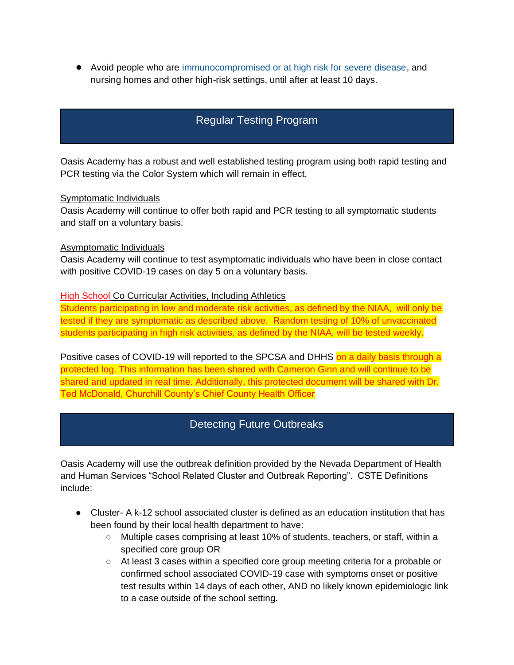● Avoid people who are [immunocompromised or at high risk for severe disease,](https://www.cdc.gov/coronavirus/2019-ncov/need-extra-precautions/people-with-medical-conditions.html) and nursing homes and other high-risk settings, until after at least 10 days.

# Regular Testing Program

Oasis Academy has a robust and well established testing program using both rapid testing and PCR testing via the Color System which will remain in effect.

#### Symptomatic Individuals

Oasis Academy will continue to offer both rapid and PCR testing to all symptomatic students and staff on a voluntary basis.

#### Asymptomatic Individuals

Oasis Academy will continue to test asymptomatic individuals who have been in close contact with positive COVID-19 cases on day 5 on a voluntary basis.

#### High School Co Curricular Activities, Including Athletics

Students participating in low and moderate risk activities, as defined by the NIAA, will only be tested if they are symptomatic as described above. Random testing of 10% of unvaccinated students participating in high risk activities, as defined by the NIAA, will be tested weekly.

Positive cases of COVID-19 will reported to the SPCSA and DHHS on a daily basis through a protected log. This information has been shared with Cameron Ginn and will continue to be shared and updated in real time. Additionally, this protected document will be shared with Dr. Ted McDonald, Churchill County's Chief County Health Officer

## Detecting Future Outbreaks

Oasis Academy will use the outbreak definition provided by the Nevada Department of Health and Human Services "School Related Cluster and Outbreak Reporting". CSTE Definitions include:

- Cluster- A k-12 school associated cluster is defined as an education institution that has been found by their local health department to have:
	- Multiple cases comprising at least 10% of students, teachers, or staff, within a specified core group OR
	- At least 3 cases within a specified core group meeting criteria for a probable or confirmed school associated COVID-19 case with symptoms onset or positive test results within 14 days of each other, AND no likely known epidemiologic link to a case outside of the school setting.